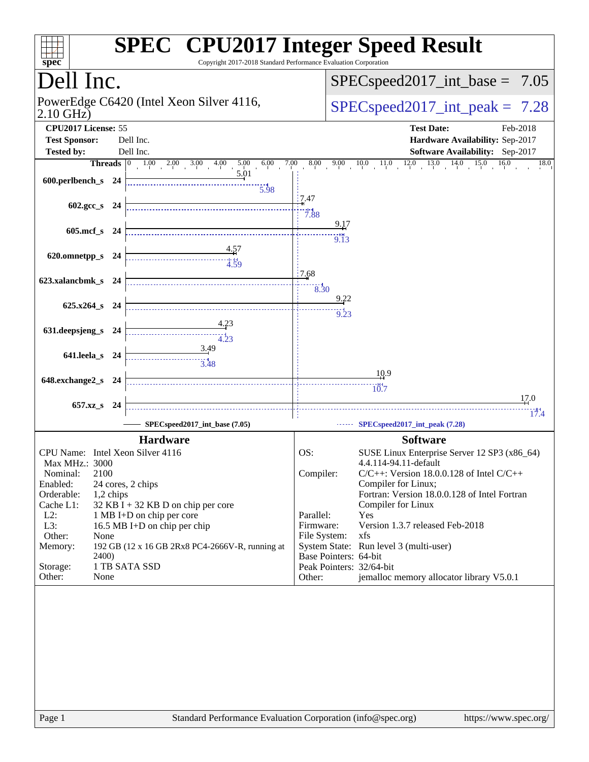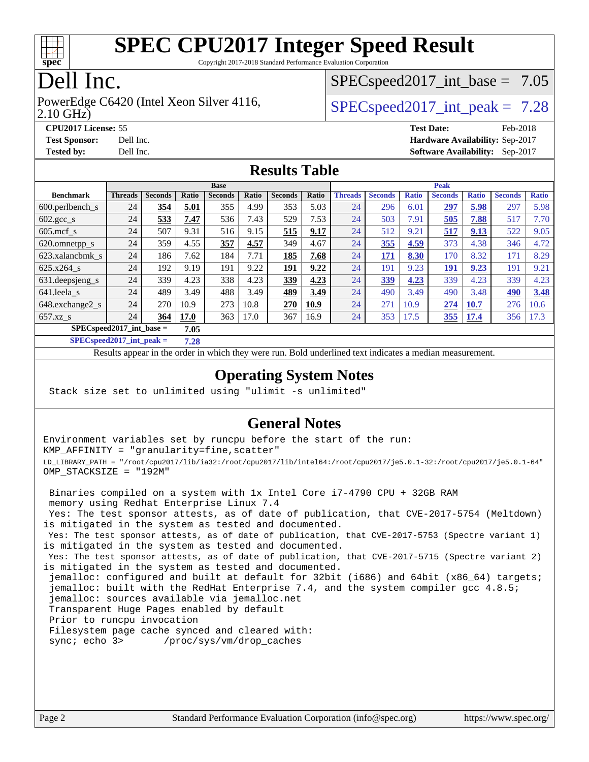

Copyright 2017-2018 Standard Performance Evaluation Corporation

## Dell Inc.

2.10 GHz) PowerEdge C6420 (Intel Xeon Silver 4116,  $\vert$  [SPECspeed2017\\_int\\_peak =](http://www.spec.org/auto/cpu2017/Docs/result-fields.html#SPECspeed2017intpeak) 7.28

 $SPECspeed2017\_int\_base = 7.05$ 

**[CPU2017 License:](http://www.spec.org/auto/cpu2017/Docs/result-fields.html#CPU2017License)** 55 **[Test Date:](http://www.spec.org/auto/cpu2017/Docs/result-fields.html#TestDate)** Feb-2018 **[Test Sponsor:](http://www.spec.org/auto/cpu2017/Docs/result-fields.html#TestSponsor)** Dell Inc. **[Hardware Availability:](http://www.spec.org/auto/cpu2017/Docs/result-fields.html#HardwareAvailability)** Sep-2017 **[Tested by:](http://www.spec.org/auto/cpu2017/Docs/result-fields.html#Testedby)** Dell Inc. **[Software Availability:](http://www.spec.org/auto/cpu2017/Docs/result-fields.html#SoftwareAvailability)** Sep-2017

#### **[Results Table](http://www.spec.org/auto/cpu2017/Docs/result-fields.html#ResultsTable)**

|                                     | <b>Base</b>    |                |       |                |       |                | <b>Peak</b> |                |                |              |                |              |                |              |
|-------------------------------------|----------------|----------------|-------|----------------|-------|----------------|-------------|----------------|----------------|--------------|----------------|--------------|----------------|--------------|
| <b>Benchmark</b>                    | <b>Threads</b> | <b>Seconds</b> | Ratio | <b>Seconds</b> | Ratio | <b>Seconds</b> | Ratio       | <b>Threads</b> | <b>Seconds</b> | <b>Ratio</b> | <b>Seconds</b> | <b>Ratio</b> | <b>Seconds</b> | <b>Ratio</b> |
| $600.$ perlbench $\mathsf{S}$       | 24             | 354            | 5.01  | 355            | 4.99  | 353            | 5.03        | 24             | 296            | 6.01         | 297            | 5.98         | 297            | 5.98         |
| $602 \text{.} \text{gcc}\text{.}$ s | 24             | 533            | 7.47  | 536            | 7.43  | 529            | 7.53        | 24             | 503            | 7.91         | 505            | 7.88         | 517            | 7.70         |
| $605$ .mcf s                        | 24             | 507            | 9.31  | 516            | 9.15  | 515            | 9.17        | 24             | 512            | 9.21         | 517            | 9.13         | 522            | 9.05         |
| 620.omnetpp_s                       | 24             | 359            | 4.55  | 357            | 4.57  | 349            | 4.67        | 24             | 355            | 4.59         | 373            | 4.38         | 346            | 4.72         |
| 623.xalancbmk s                     | 24             | 186            | 7.62  | 184            | 7.71  | 185            | 7.68        | 24             | 171            | 8.30         | 170            | 8.32         | 171            | 8.29         |
| 625.x264 s                          | 24             | 192            | 9.19  | 191            | 9.22  | 191            | 9.22        | 24             | 191            | 9.23         | 191            | 9.23         | 191            | 9.21         |
| 631.deepsjeng_s                     | 24             | 339            | 4.23  | 338            | 4.23  | 339            | 4.23        | 24             | 339            | 4.23         | 339            | 4.23         | 339            | 4.23         |
| 641.leela s                         | 24             | 489            | 3.49  | 488            | 3.49  | 489            | 3.49        | 24             | 490            | 3.49         | 490            | 3.48         | 490            | 3.48         |
| 648.exchange2_s                     | 24             | 270            | 10.9  | 273            | 10.8  | 270            | 10.9        | 24             | 271            | 10.9         | 274            | 10.7         | 276            | 10.6         |
| $657.xz$ <sub>S</sub>               | 24             | 364            | 17.0  | 363            | 17.0  | 367            | 16.9        | 24             | 353            | 17.5         | 355            | 17.4         | 356            | 17.3         |
| $SPEC speed2017$ int base =<br>7.05 |                |                |       |                |       |                |             |                |                |              |                |              |                |              |

**[SPECspeed2017\\_int\\_peak =](http://www.spec.org/auto/cpu2017/Docs/result-fields.html#SPECspeed2017intpeak) 7.28**

Results appear in the [order in which they were run.](http://www.spec.org/auto/cpu2017/Docs/result-fields.html#RunOrder) Bold underlined text [indicates a median measurement](http://www.spec.org/auto/cpu2017/Docs/result-fields.html#Median).

#### **[Operating System Notes](http://www.spec.org/auto/cpu2017/Docs/result-fields.html#OperatingSystemNotes)**

Stack size set to unlimited using "ulimit -s unlimited"

#### **[General Notes](http://www.spec.org/auto/cpu2017/Docs/result-fields.html#GeneralNotes)**

Environment variables set by runcpu before the start of the run: KMP\_AFFINITY = "granularity=fine,scatter" LD\_LIBRARY\_PATH = "/root/cpu2017/lib/ia32:/root/cpu2017/lib/intel64:/root/cpu2017/je5.0.1-32:/root/cpu2017/je5.0.1-64" OMP\_STACKSIZE = "192M"

 Binaries compiled on a system with 1x Intel Core i7-4790 CPU + 32GB RAM memory using Redhat Enterprise Linux 7.4 Yes: The test sponsor attests, as of date of publication, that CVE-2017-5754 (Meltdown) is mitigated in the system as tested and documented. Yes: The test sponsor attests, as of date of publication, that CVE-2017-5753 (Spectre variant 1) is mitigated in the system as tested and documented. Yes: The test sponsor attests, as of date of publication, that CVE-2017-5715 (Spectre variant 2) is mitigated in the system as tested and documented. jemalloc: configured and built at default for 32bit (i686) and 64bit (x86\_64) targets; jemalloc: built with the RedHat Enterprise 7.4, and the system compiler gcc 4.8.5; jemalloc: sources available via jemalloc.net Transparent Huge Pages enabled by default Prior to runcpu invocation Filesystem page cache synced and cleared with: sync; echo 3> /proc/sys/vm/drop\_caches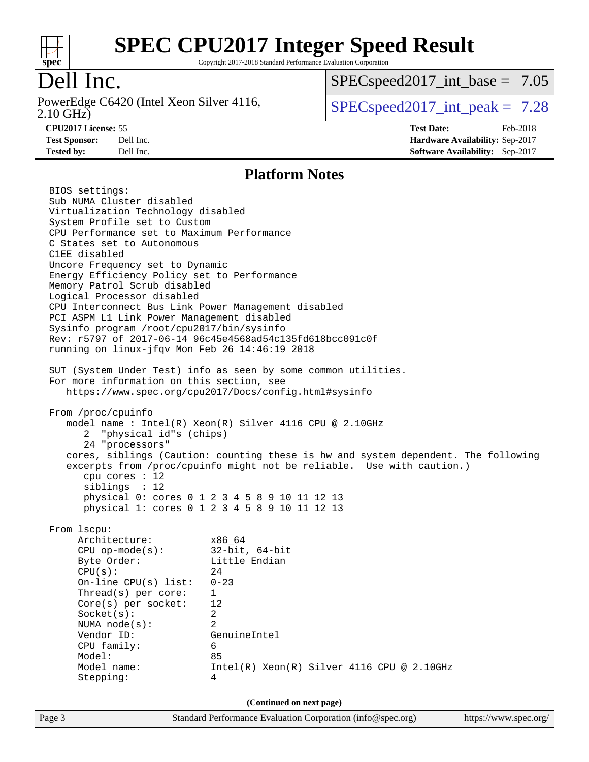

Copyright 2017-2018 Standard Performance Evaluation Corporation

## Dell Inc.

2.10 GHz) PowerEdge C6420 (Intel Xeon Silver 4116,  $\vert$  [SPECspeed2017\\_int\\_peak =](http://www.spec.org/auto/cpu2017/Docs/result-fields.html#SPECspeed2017intpeak) 7.28

 $SPECspeed2017\_int\_base = 7.05$ 

**[CPU2017 License:](http://www.spec.org/auto/cpu2017/Docs/result-fields.html#CPU2017License)** 55 **[Test Date:](http://www.spec.org/auto/cpu2017/Docs/result-fields.html#TestDate)** Feb-2018 **[Test Sponsor:](http://www.spec.org/auto/cpu2017/Docs/result-fields.html#TestSponsor)** Dell Inc. **[Hardware Availability:](http://www.spec.org/auto/cpu2017/Docs/result-fields.html#HardwareAvailability)** Sep-2017 **[Tested by:](http://www.spec.org/auto/cpu2017/Docs/result-fields.html#Testedby)** Dell Inc. **[Software Availability:](http://www.spec.org/auto/cpu2017/Docs/result-fields.html#SoftwareAvailability)** Sep-2017

#### **[Platform Notes](http://www.spec.org/auto/cpu2017/Docs/result-fields.html#PlatformNotes)**

Page 3 Standard Performance Evaluation Corporation [\(info@spec.org\)](mailto:info@spec.org) <https://www.spec.org/> BIOS settings: Sub NUMA Cluster disabled Virtualization Technology disabled System Profile set to Custom CPU Performance set to Maximum Performance C States set to Autonomous C1EE disabled Uncore Frequency set to Dynamic Energy Efficiency Policy set to Performance Memory Patrol Scrub disabled Logical Processor disabled CPU Interconnect Bus Link Power Management disabled PCI ASPM L1 Link Power Management disabled Sysinfo program /root/cpu2017/bin/sysinfo Rev: r5797 of 2017-06-14 96c45e4568ad54c135fd618bcc091c0f running on linux-jfqv Mon Feb 26 14:46:19 2018 SUT (System Under Test) info as seen by some common utilities. For more information on this section, see <https://www.spec.org/cpu2017/Docs/config.html#sysinfo> From /proc/cpuinfo model name : Intel(R) Xeon(R) Silver 4116 CPU @ 2.10GHz 2 "physical id"s (chips) 24 "processors" cores, siblings (Caution: counting these is hw and system dependent. The following excerpts from /proc/cpuinfo might not be reliable. Use with caution.) cpu cores : 12 siblings : 12 physical 0: cores 0 1 2 3 4 5 8 9 10 11 12 13 physical 1: cores 0 1 2 3 4 5 8 9 10 11 12 13 From lscpu: Architecture: x86\_64 CPU op-mode(s): 32-bit, 64-bit Byte Order: Little Endian  $CPU(s):$  24 On-line CPU(s) list: 0-23 Thread(s) per core: 1 Core(s) per socket: 12 Socket(s): 2 NUMA node(s): 2 Vendor ID: GenuineIntel CPU family: 6 Model: 85 Model name:  $Intel(R)$  Xeon(R) Silver 4116 CPU @ 2.10GHz Stepping: 4 **(Continued on next page)**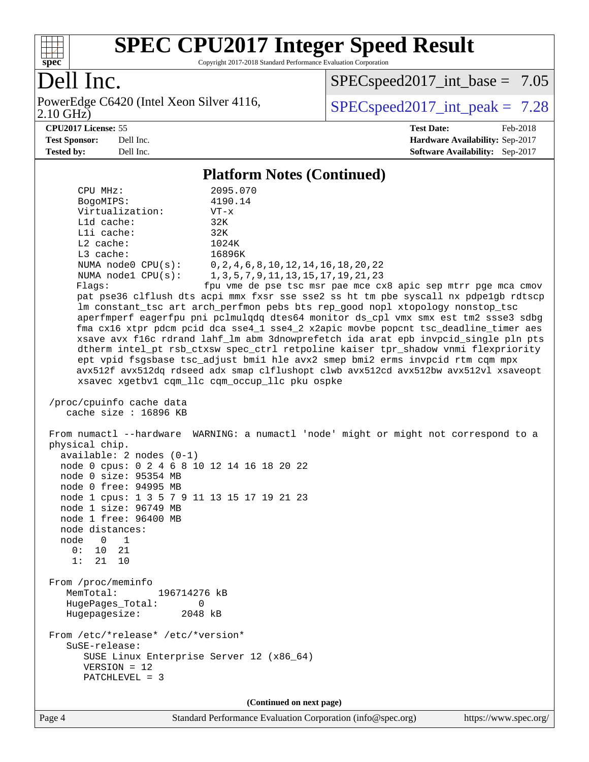

Copyright 2017-2018 Standard Performance Evaluation Corporation

## Dell Inc.

2.10 GHz) PowerEdge C6420 (Intel Xeon Silver 4116,  $\vert$  [SPECspeed2017\\_int\\_peak =](http://www.spec.org/auto/cpu2017/Docs/result-fields.html#SPECspeed2017intpeak) 7.28

 $SPECspeed2017\_int\_base = 7.05$ 

**[CPU2017 License:](http://www.spec.org/auto/cpu2017/Docs/result-fields.html#CPU2017License)** 55 **[Test Date:](http://www.spec.org/auto/cpu2017/Docs/result-fields.html#TestDate)** Feb-2018 **[Test Sponsor:](http://www.spec.org/auto/cpu2017/Docs/result-fields.html#TestSponsor)** Dell Inc. **[Hardware Availability:](http://www.spec.org/auto/cpu2017/Docs/result-fields.html#HardwareAvailability)** Sep-2017 **[Tested by:](http://www.spec.org/auto/cpu2017/Docs/result-fields.html#Testedby)** Dell Inc. **[Software Availability:](http://www.spec.org/auto/cpu2017/Docs/result-fields.html#SoftwareAvailability)** Sep-2017

#### **[Platform Notes \(Continued\)](http://www.spec.org/auto/cpu2017/Docs/result-fields.html#PlatformNotes)**

 CPU MHz: 2095.070 BogoMIPS: 4190.14 Virtualization: VT-x L1d cache: 32K L1i cache: 32K L2 cache: 1024K L3 cache: 16896K NUMA node0 CPU(s): 0,2,4,6,8,10,12,14,16,18,20,22 NUMA node1 CPU(s): 1,3,5,7,9,11,13,15,17,19,21,23 Flags: fpu vme de pse tsc msr pae mce cx8 apic sep mtrr pge mca cmov pat pse36 clflush dts acpi mmx fxsr sse sse2 ss ht tm pbe syscall nx pdpe1gb rdtscp lm constant\_tsc art arch\_perfmon pebs bts rep\_good nopl xtopology nonstop\_tsc aperfmperf eagerfpu pni pclmulqdq dtes64 monitor ds\_cpl vmx smx est tm2 ssse3 sdbg fma cx16 xtpr pdcm pcid dca sse4\_1 sse4\_2 x2apic movbe popcnt tsc\_deadline\_timer aes xsave avx f16c rdrand lahf\_lm abm 3dnowprefetch ida arat epb invpcid\_single pln pts dtherm intel\_pt rsb\_ctxsw spec\_ctrl retpoline kaiser tpr\_shadow vnmi flexpriority ept vpid fsgsbase tsc\_adjust bmi1 hle avx2 smep bmi2 erms invpcid rtm cqm mpx avx512f avx512dq rdseed adx smap clflushopt clwb avx512cd avx512bw avx512vl xsaveopt xsavec xgetbv1 cqm\_llc cqm\_occup\_llc pku ospke /proc/cpuinfo cache data cache size : 16896 KB From numactl --hardware WARNING: a numactl 'node' might or might not correspond to a physical chip. available: 2 nodes (0-1) node 0 cpus: 0 2 4 6 8 10 12 14 16 18 20 22 node 0 size: 95354 MB node 0 free: 94995 MB node 1 cpus: 1 3 5 7 9 11 13 15 17 19 21 23 node 1 size: 96749 MB node 1 free: 96400 MB node distances: node 0 1 0: 10 21 1: 21 10 From /proc/meminfo MemTotal: 196714276 kB HugePages\_Total: 0 Hugepagesize: 2048 kB From /etc/\*release\* /etc/\*version\* SuSE-release: SUSE Linux Enterprise Server 12 (x86\_64) VERSION = 12 PATCHLEVEL = 3 **(Continued on next page)**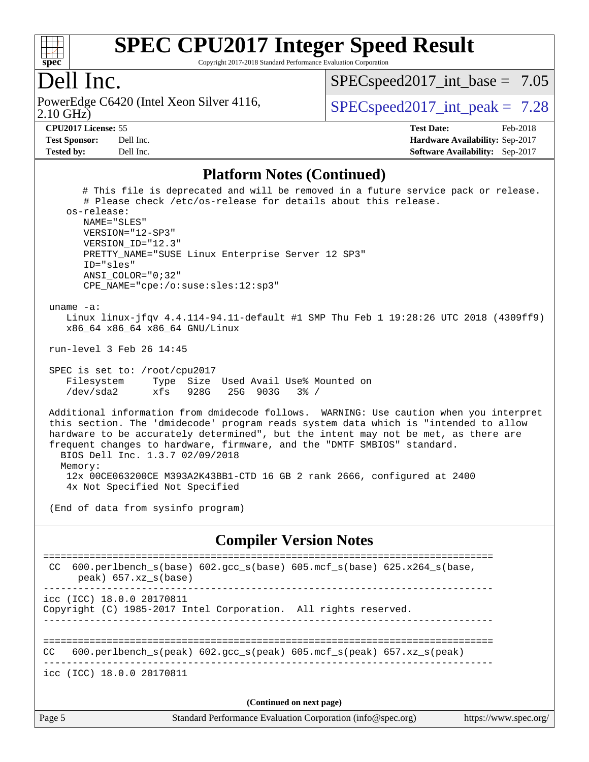

Copyright 2017-2018 Standard Performance Evaluation Corporation

#### Dell Inc.

2.10 GHz) PowerEdge C6420 (Intel Xeon Silver 4116,  $\vert$  [SPECspeed2017\\_int\\_peak =](http://www.spec.org/auto/cpu2017/Docs/result-fields.html#SPECspeed2017intpeak) 7.28

 $SPECspeed2017\_int\_base = 7.05$ 

**[CPU2017 License:](http://www.spec.org/auto/cpu2017/Docs/result-fields.html#CPU2017License)** 55 **[Test Date:](http://www.spec.org/auto/cpu2017/Docs/result-fields.html#TestDate)** Feb-2018 **[Test Sponsor:](http://www.spec.org/auto/cpu2017/Docs/result-fields.html#TestSponsor)** Dell Inc. **[Hardware Availability:](http://www.spec.org/auto/cpu2017/Docs/result-fields.html#HardwareAvailability)** Sep-2017 **[Tested by:](http://www.spec.org/auto/cpu2017/Docs/result-fields.html#Testedby)** Dell Inc. **[Software Availability:](http://www.spec.org/auto/cpu2017/Docs/result-fields.html#SoftwareAvailability)** Sep-2017

#### **[Platform Notes \(Continued\)](http://www.spec.org/auto/cpu2017/Docs/result-fields.html#PlatformNotes)**

Page 5 Standard Performance Evaluation Corporation [\(info@spec.org\)](mailto:info@spec.org) <https://www.spec.org/> # This file is deprecated and will be removed in a future service pack or release. # Please check /etc/os-release for details about this release. os-release: NAME="SLES" VERSION="12-SP3" VERSION\_ID="12.3" PRETTY\_NAME="SUSE Linux Enterprise Server 12 SP3" ID="sles" ANSI\_COLOR="0;32" CPE\_NAME="cpe:/o:suse:sles:12:sp3" uname -a: Linux linux-jfqv 4.4.114-94.11-default #1 SMP Thu Feb 1 19:28:26 UTC 2018 (4309ff9) x86\_64 x86\_64 x86\_64 GNU/Linux run-level 3 Feb 26 14:45 SPEC is set to: /root/cpu2017 Filesystem Type Size Used Avail Use% Mounted on /dev/sda2 xfs 928G 25G 903G 3% / Additional information from dmidecode follows. WARNING: Use caution when you interpret this section. The 'dmidecode' program reads system data which is "intended to allow hardware to be accurately determined", but the intent may not be met, as there are frequent changes to hardware, firmware, and the "DMTF SMBIOS" standard. BIOS Dell Inc. 1.3.7 02/09/2018 Memory: 12x 00CE063200CE M393A2K43BB1-CTD 16 GB 2 rank 2666, configured at 2400 4x Not Specified Not Specified (End of data from sysinfo program) **[Compiler Version Notes](http://www.spec.org/auto/cpu2017/Docs/result-fields.html#CompilerVersionNotes)** ============================================================================== CC 600.perlbench\_s(base) 602.gcc\_s(base) 605.mcf\_s(base) 625.x264\_s(base, peak) 657.xz\_s(base) ----------------------------------------------------------------------------- icc (ICC) 18.0.0 20170811 Copyright (C) 1985-2017 Intel Corporation. All rights reserved. ------------------------------------------------------------------------------ ============================================================================== CC 600.perlbench\_s(peak) 602.gcc\_s(peak) 605.mcf\_s(peak) 657.xz\_s(peak) ----------------------------------------------------------------------------- icc (ICC) 18.0.0 20170811 **(Continued on next page)**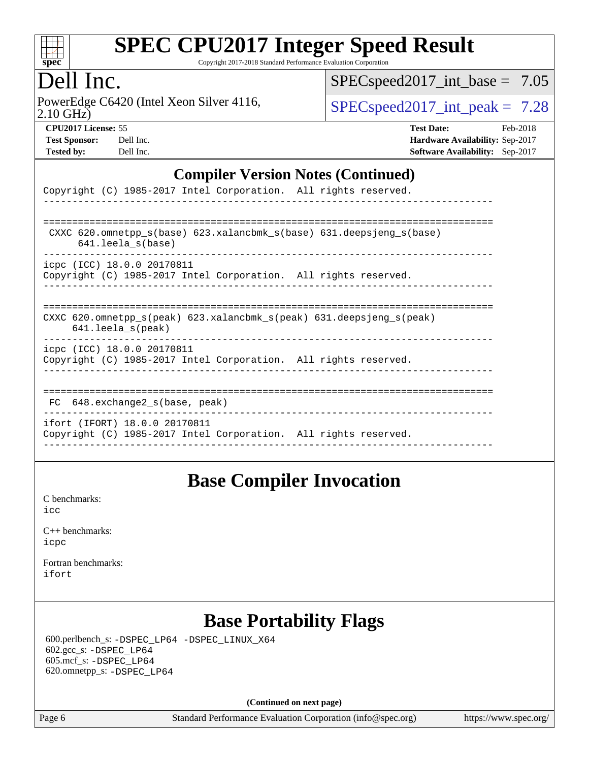

Copyright 2017-2018 Standard Performance Evaluation Corporation

#### Dell Inc.

2.10 GHz) PowerEdge C6420 (Intel Xeon Silver 4116,  $\text{SPEC speed2017\_int\_peak} = 7.28$ 

[SPECspeed2017\\_int\\_base =](http://www.spec.org/auto/cpu2017/Docs/result-fields.html#SPECspeed2017intbase) 7.05

| <b>Test Sponsor:</b> | Dell Inc |
|----------------------|----------|
| <b>Tested by:</b>    | Dell Inc |

**[CPU2017 License:](http://www.spec.org/auto/cpu2017/Docs/result-fields.html#CPU2017License)** 55 **[Test Date:](http://www.spec.org/auto/cpu2017/Docs/result-fields.html#TestDate)** Feb-2018 **[Hardware Availability:](http://www.spec.org/auto/cpu2017/Docs/result-fields.html#HardwareAvailability)** Sep-2017 **[Software Availability:](http://www.spec.org/auto/cpu2017/Docs/result-fields.html#SoftwareAvailability)** Sep-2017

#### **[Compiler Version Notes \(Continued\)](http://www.spec.org/auto/cpu2017/Docs/result-fields.html#CompilerVersionNotes)**

| Copyright (C) 1985-2017 Intel Corporation. All rights reserved.                                                            |
|----------------------------------------------------------------------------------------------------------------------------|
| CXXC 620.omnetpp $s(base)$ 623.xalancbmk $s(base)$ 631.deepsjeng $s(base)$                                                 |
| 641.leela_s(base)                                                                                                          |
| icpc (ICC) 18.0.0 20170811<br>Copyright (C) 1985-2017 Intel Corporation. All rights reserved.                              |
| CXXC 620.omnetpp $s(\text{peak})$ 623.xalancbmk $s(\text{peak})$ 631.deepsjeng $s(\text{peak})$<br>$641.$ leela $s$ (peak) |
| icpc (ICC) 18.0.0 20170811<br>Copyright (C) 1985-2017 Intel Corporation. All rights reserved.                              |
| 648.exchange2 s(base, peak)<br>FC.                                                                                         |
| ifort (IFORT) 18.0.0 20170811<br>Copyright (C) 1985-2017 Intel Corporation. All rights reserved.                           |

#### **[Base Compiler Invocation](http://www.spec.org/auto/cpu2017/Docs/result-fields.html#BaseCompilerInvocation)**

[C benchmarks](http://www.spec.org/auto/cpu2017/Docs/result-fields.html#Cbenchmarks): [icc](http://www.spec.org/cpu2017/results/res2018q1/cpu2017-20180305-03817.flags.html#user_CCbase_intel_icc_18.0_66fc1ee009f7361af1fbd72ca7dcefbb700085f36577c54f309893dd4ec40d12360134090235512931783d35fd58c0460139e722d5067c5574d8eaf2b3e37e92)

| $C_{++}$ benchmarks: |
|----------------------|
| icpc                 |

[Fortran benchmarks](http://www.spec.org/auto/cpu2017/Docs/result-fields.html#Fortranbenchmarks): [ifort](http://www.spec.org/cpu2017/results/res2018q1/cpu2017-20180305-03817.flags.html#user_FCbase_intel_ifort_18.0_8111460550e3ca792625aed983ce982f94888b8b503583aa7ba2b8303487b4d8a21a13e7191a45c5fd58ff318f48f9492884d4413fa793fd88dd292cad7027ca)

## **[Base Portability Flags](http://www.spec.org/auto/cpu2017/Docs/result-fields.html#BasePortabilityFlags)**

 600.perlbench\_s: [-DSPEC\\_LP64](http://www.spec.org/cpu2017/results/res2018q1/cpu2017-20180305-03817.flags.html#b600.perlbench_s_basePORTABILITY_DSPEC_LP64) [-DSPEC\\_LINUX\\_X64](http://www.spec.org/cpu2017/results/res2018q1/cpu2017-20180305-03817.flags.html#b600.perlbench_s_baseCPORTABILITY_DSPEC_LINUX_X64) 602.gcc\_s: [-DSPEC\\_LP64](http://www.spec.org/cpu2017/results/res2018q1/cpu2017-20180305-03817.flags.html#suite_basePORTABILITY602_gcc_s_DSPEC_LP64) 605.mcf\_s: [-DSPEC\\_LP64](http://www.spec.org/cpu2017/results/res2018q1/cpu2017-20180305-03817.flags.html#suite_basePORTABILITY605_mcf_s_DSPEC_LP64) 620.omnetpp\_s: [-DSPEC\\_LP64](http://www.spec.org/cpu2017/results/res2018q1/cpu2017-20180305-03817.flags.html#suite_basePORTABILITY620_omnetpp_s_DSPEC_LP64)

**(Continued on next page)**

Page 6 Standard Performance Evaluation Corporation [\(info@spec.org\)](mailto:info@spec.org) <https://www.spec.org/>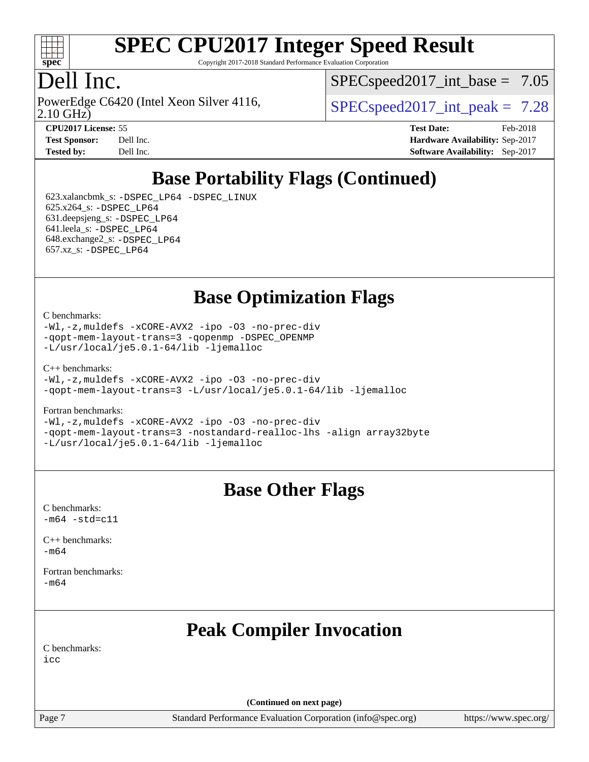

Copyright 2017-2018 Standard Performance Evaluation Corporation

## Dell Inc.

2.10 GHz) PowerEdge C6420 (Intel Xeon Silver 4116,  $\vert$  [SPECspeed2017\\_int\\_peak =](http://www.spec.org/auto/cpu2017/Docs/result-fields.html#SPECspeed2017intpeak) 7.28

 $SPECspeed2017\_int\_base = 7.05$ 

**[CPU2017 License:](http://www.spec.org/auto/cpu2017/Docs/result-fields.html#CPU2017License)** 55 **[Test Date:](http://www.spec.org/auto/cpu2017/Docs/result-fields.html#TestDate)** Feb-2018 **[Test Sponsor:](http://www.spec.org/auto/cpu2017/Docs/result-fields.html#TestSponsor)** Dell Inc. **[Hardware Availability:](http://www.spec.org/auto/cpu2017/Docs/result-fields.html#HardwareAvailability)** Sep-2017 **[Tested by:](http://www.spec.org/auto/cpu2017/Docs/result-fields.html#Testedby)** Dell Inc. **[Software Availability:](http://www.spec.org/auto/cpu2017/Docs/result-fields.html#SoftwareAvailability)** Sep-2017

## **[Base Portability Flags \(Continued\)](http://www.spec.org/auto/cpu2017/Docs/result-fields.html#BasePortabilityFlags)**

 623.xalancbmk\_s: [-DSPEC\\_LP64](http://www.spec.org/cpu2017/results/res2018q1/cpu2017-20180305-03817.flags.html#suite_basePORTABILITY623_xalancbmk_s_DSPEC_LP64) [-DSPEC\\_LINUX](http://www.spec.org/cpu2017/results/res2018q1/cpu2017-20180305-03817.flags.html#b623.xalancbmk_s_baseCXXPORTABILITY_DSPEC_LINUX) 625.x264\_s: [-DSPEC\\_LP64](http://www.spec.org/cpu2017/results/res2018q1/cpu2017-20180305-03817.flags.html#suite_basePORTABILITY625_x264_s_DSPEC_LP64) 631.deepsjeng\_s: [-DSPEC\\_LP64](http://www.spec.org/cpu2017/results/res2018q1/cpu2017-20180305-03817.flags.html#suite_basePORTABILITY631_deepsjeng_s_DSPEC_LP64) 641.leela\_s: [-DSPEC\\_LP64](http://www.spec.org/cpu2017/results/res2018q1/cpu2017-20180305-03817.flags.html#suite_basePORTABILITY641_leela_s_DSPEC_LP64) 648.exchange2\_s: [-DSPEC\\_LP64](http://www.spec.org/cpu2017/results/res2018q1/cpu2017-20180305-03817.flags.html#suite_basePORTABILITY648_exchange2_s_DSPEC_LP64) 657.xz\_s: [-DSPEC\\_LP64](http://www.spec.org/cpu2017/results/res2018q1/cpu2017-20180305-03817.flags.html#suite_basePORTABILITY657_xz_s_DSPEC_LP64)

**[Base Optimization Flags](http://www.spec.org/auto/cpu2017/Docs/result-fields.html#BaseOptimizationFlags)**

#### [C benchmarks](http://www.spec.org/auto/cpu2017/Docs/result-fields.html#Cbenchmarks):

[-Wl,-z,muldefs](http://www.spec.org/cpu2017/results/res2018q1/cpu2017-20180305-03817.flags.html#user_CCbase_link_force_multiple1_b4cbdb97b34bdee9ceefcfe54f4c8ea74255f0b02a4b23e853cdb0e18eb4525ac79b5a88067c842dd0ee6996c24547a27a4b99331201badda8798ef8a743f577) [-xCORE-AVX2](http://www.spec.org/cpu2017/results/res2018q1/cpu2017-20180305-03817.flags.html#user_CCbase_f-xCORE-AVX2) [-ipo](http://www.spec.org/cpu2017/results/res2018q1/cpu2017-20180305-03817.flags.html#user_CCbase_f-ipo) [-O3](http://www.spec.org/cpu2017/results/res2018q1/cpu2017-20180305-03817.flags.html#user_CCbase_f-O3) [-no-prec-div](http://www.spec.org/cpu2017/results/res2018q1/cpu2017-20180305-03817.flags.html#user_CCbase_f-no-prec-div) [-qopt-mem-layout-trans=3](http://www.spec.org/cpu2017/results/res2018q1/cpu2017-20180305-03817.flags.html#user_CCbase_f-qopt-mem-layout-trans_de80db37974c74b1f0e20d883f0b675c88c3b01e9d123adea9b28688d64333345fb62bc4a798493513fdb68f60282f9a726aa07f478b2f7113531aecce732043) [-qopenmp](http://www.spec.org/cpu2017/results/res2018q1/cpu2017-20180305-03817.flags.html#user_CCbase_qopenmp_16be0c44f24f464004c6784a7acb94aca937f053568ce72f94b139a11c7c168634a55f6653758ddd83bcf7b8463e8028bb0b48b77bcddc6b78d5d95bb1df2967) [-DSPEC\\_OPENMP](http://www.spec.org/cpu2017/results/res2018q1/cpu2017-20180305-03817.flags.html#suite_CCbase_DSPEC_OPENMP) [-L/usr/local/je5.0.1-64/lib](http://www.spec.org/cpu2017/results/res2018q1/cpu2017-20180305-03817.flags.html#user_CCbase_jemalloc_link_path64_4b10a636b7bce113509b17f3bd0d6226c5fb2346b9178c2d0232c14f04ab830f976640479e5c33dc2bcbbdad86ecfb6634cbbd4418746f06f368b512fced5394) [-ljemalloc](http://www.spec.org/cpu2017/results/res2018q1/cpu2017-20180305-03817.flags.html#user_CCbase_jemalloc_link_lib_d1249b907c500fa1c0672f44f562e3d0f79738ae9e3c4a9c376d49f265a04b9c99b167ecedbf6711b3085be911c67ff61f150a17b3472be731631ba4d0471706)

[C++ benchmarks:](http://www.spec.org/auto/cpu2017/Docs/result-fields.html#CXXbenchmarks)

[-Wl,-z,muldefs](http://www.spec.org/cpu2017/results/res2018q1/cpu2017-20180305-03817.flags.html#user_CXXbase_link_force_multiple1_b4cbdb97b34bdee9ceefcfe54f4c8ea74255f0b02a4b23e853cdb0e18eb4525ac79b5a88067c842dd0ee6996c24547a27a4b99331201badda8798ef8a743f577) [-xCORE-AVX2](http://www.spec.org/cpu2017/results/res2018q1/cpu2017-20180305-03817.flags.html#user_CXXbase_f-xCORE-AVX2) [-ipo](http://www.spec.org/cpu2017/results/res2018q1/cpu2017-20180305-03817.flags.html#user_CXXbase_f-ipo) [-O3](http://www.spec.org/cpu2017/results/res2018q1/cpu2017-20180305-03817.flags.html#user_CXXbase_f-O3) [-no-prec-div](http://www.spec.org/cpu2017/results/res2018q1/cpu2017-20180305-03817.flags.html#user_CXXbase_f-no-prec-div) [-qopt-mem-layout-trans=3](http://www.spec.org/cpu2017/results/res2018q1/cpu2017-20180305-03817.flags.html#user_CXXbase_f-qopt-mem-layout-trans_de80db37974c74b1f0e20d883f0b675c88c3b01e9d123adea9b28688d64333345fb62bc4a798493513fdb68f60282f9a726aa07f478b2f7113531aecce732043) [-L/usr/local/je5.0.1-64/lib](http://www.spec.org/cpu2017/results/res2018q1/cpu2017-20180305-03817.flags.html#user_CXXbase_jemalloc_link_path64_4b10a636b7bce113509b17f3bd0d6226c5fb2346b9178c2d0232c14f04ab830f976640479e5c33dc2bcbbdad86ecfb6634cbbd4418746f06f368b512fced5394) [-ljemalloc](http://www.spec.org/cpu2017/results/res2018q1/cpu2017-20180305-03817.flags.html#user_CXXbase_jemalloc_link_lib_d1249b907c500fa1c0672f44f562e3d0f79738ae9e3c4a9c376d49f265a04b9c99b167ecedbf6711b3085be911c67ff61f150a17b3472be731631ba4d0471706)

[Fortran benchmarks](http://www.spec.org/auto/cpu2017/Docs/result-fields.html#Fortranbenchmarks):

[-Wl,-z,muldefs](http://www.spec.org/cpu2017/results/res2018q1/cpu2017-20180305-03817.flags.html#user_FCbase_link_force_multiple1_b4cbdb97b34bdee9ceefcfe54f4c8ea74255f0b02a4b23e853cdb0e18eb4525ac79b5a88067c842dd0ee6996c24547a27a4b99331201badda8798ef8a743f577) [-xCORE-AVX2](http://www.spec.org/cpu2017/results/res2018q1/cpu2017-20180305-03817.flags.html#user_FCbase_f-xCORE-AVX2) [-ipo](http://www.spec.org/cpu2017/results/res2018q1/cpu2017-20180305-03817.flags.html#user_FCbase_f-ipo) [-O3](http://www.spec.org/cpu2017/results/res2018q1/cpu2017-20180305-03817.flags.html#user_FCbase_f-O3) [-no-prec-div](http://www.spec.org/cpu2017/results/res2018q1/cpu2017-20180305-03817.flags.html#user_FCbase_f-no-prec-div) [-qopt-mem-layout-trans=3](http://www.spec.org/cpu2017/results/res2018q1/cpu2017-20180305-03817.flags.html#user_FCbase_f-qopt-mem-layout-trans_de80db37974c74b1f0e20d883f0b675c88c3b01e9d123adea9b28688d64333345fb62bc4a798493513fdb68f60282f9a726aa07f478b2f7113531aecce732043) [-nostandard-realloc-lhs](http://www.spec.org/cpu2017/results/res2018q1/cpu2017-20180305-03817.flags.html#user_FCbase_f_2003_std_realloc_82b4557e90729c0f113870c07e44d33d6f5a304b4f63d4c15d2d0f1fab99f5daaed73bdb9275d9ae411527f28b936061aa8b9c8f2d63842963b95c9dd6426b8a) [-align array32byte](http://www.spec.org/cpu2017/results/res2018q1/cpu2017-20180305-03817.flags.html#user_FCbase_align_array32byte_b982fe038af199962ba9a80c053b8342c548c85b40b8e86eb3cc33dee0d7986a4af373ac2d51c3f7cf710a18d62fdce2948f201cd044323541f22fc0fffc51b6) [-L/usr/local/je5.0.1-64/lib](http://www.spec.org/cpu2017/results/res2018q1/cpu2017-20180305-03817.flags.html#user_FCbase_jemalloc_link_path64_4b10a636b7bce113509b17f3bd0d6226c5fb2346b9178c2d0232c14f04ab830f976640479e5c33dc2bcbbdad86ecfb6634cbbd4418746f06f368b512fced5394) [-ljemalloc](http://www.spec.org/cpu2017/results/res2018q1/cpu2017-20180305-03817.flags.html#user_FCbase_jemalloc_link_lib_d1249b907c500fa1c0672f44f562e3d0f79738ae9e3c4a9c376d49f265a04b9c99b167ecedbf6711b3085be911c67ff61f150a17b3472be731631ba4d0471706)

#### **[Base Other Flags](http://www.spec.org/auto/cpu2017/Docs/result-fields.html#BaseOtherFlags)**

[C benchmarks](http://www.spec.org/auto/cpu2017/Docs/result-fields.html#Cbenchmarks):  $-m64 - std = c11$  $-m64 - std = c11$ 

[C++ benchmarks:](http://www.spec.org/auto/cpu2017/Docs/result-fields.html#CXXbenchmarks) [-m64](http://www.spec.org/cpu2017/results/res2018q1/cpu2017-20180305-03817.flags.html#user_CXXbase_intel_intel64_18.0_af43caccfc8ded86e7699f2159af6efc7655f51387b94da716254467f3c01020a5059329e2569e4053f409e7c9202a7efc638f7a6d1ffb3f52dea4a3e31d82ab)

[Fortran benchmarks](http://www.spec.org/auto/cpu2017/Docs/result-fields.html#Fortranbenchmarks): [-m64](http://www.spec.org/cpu2017/results/res2018q1/cpu2017-20180305-03817.flags.html#user_FCbase_intel_intel64_18.0_af43caccfc8ded86e7699f2159af6efc7655f51387b94da716254467f3c01020a5059329e2569e4053f409e7c9202a7efc638f7a6d1ffb3f52dea4a3e31d82ab)

## **[Peak Compiler Invocation](http://www.spec.org/auto/cpu2017/Docs/result-fields.html#PeakCompilerInvocation)**

[C benchmarks](http://www.spec.org/auto/cpu2017/Docs/result-fields.html#Cbenchmarks): [icc](http://www.spec.org/cpu2017/results/res2018q1/cpu2017-20180305-03817.flags.html#user_CCpeak_intel_icc_18.0_66fc1ee009f7361af1fbd72ca7dcefbb700085f36577c54f309893dd4ec40d12360134090235512931783d35fd58c0460139e722d5067c5574d8eaf2b3e37e92)

**(Continued on next page)**

Page 7 Standard Performance Evaluation Corporation [\(info@spec.org\)](mailto:info@spec.org) <https://www.spec.org/>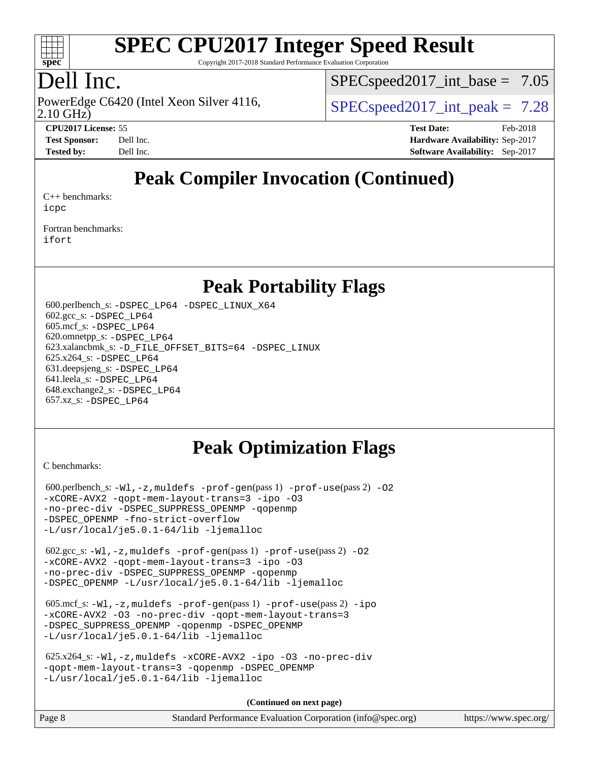

Copyright 2017-2018 Standard Performance Evaluation Corporation

## Dell Inc.

2.10 GHz) PowerEdge C6420 (Intel Xeon Silver 4116,  $\vert$  [SPECspeed2017\\_int\\_peak =](http://www.spec.org/auto/cpu2017/Docs/result-fields.html#SPECspeed2017intpeak) 7.28

 $SPECspeed2017\_int\_base = 7.05$ 

**[CPU2017 License:](http://www.spec.org/auto/cpu2017/Docs/result-fields.html#CPU2017License)** 55 **[Test Date:](http://www.spec.org/auto/cpu2017/Docs/result-fields.html#TestDate)** Feb-2018 **[Test Sponsor:](http://www.spec.org/auto/cpu2017/Docs/result-fields.html#TestSponsor)** Dell Inc. **[Hardware Availability:](http://www.spec.org/auto/cpu2017/Docs/result-fields.html#HardwareAvailability)** Sep-2017 **[Tested by:](http://www.spec.org/auto/cpu2017/Docs/result-fields.html#Testedby)** Dell Inc. **[Software Availability:](http://www.spec.org/auto/cpu2017/Docs/result-fields.html#SoftwareAvailability)** Sep-2017

## **[Peak Compiler Invocation \(Continued\)](http://www.spec.org/auto/cpu2017/Docs/result-fields.html#PeakCompilerInvocation)**

[C++ benchmarks:](http://www.spec.org/auto/cpu2017/Docs/result-fields.html#CXXbenchmarks) [icpc](http://www.spec.org/cpu2017/results/res2018q1/cpu2017-20180305-03817.flags.html#user_CXXpeak_intel_icpc_18.0_c510b6838c7f56d33e37e94d029a35b4a7bccf4766a728ee175e80a419847e808290a9b78be685c44ab727ea267ec2f070ec5dc83b407c0218cded6866a35d07)

[Fortran benchmarks](http://www.spec.org/auto/cpu2017/Docs/result-fields.html#Fortranbenchmarks): [ifort](http://www.spec.org/cpu2017/results/res2018q1/cpu2017-20180305-03817.flags.html#user_FCpeak_intel_ifort_18.0_8111460550e3ca792625aed983ce982f94888b8b503583aa7ba2b8303487b4d8a21a13e7191a45c5fd58ff318f48f9492884d4413fa793fd88dd292cad7027ca)

#### **[Peak Portability Flags](http://www.spec.org/auto/cpu2017/Docs/result-fields.html#PeakPortabilityFlags)**

 600.perlbench\_s: [-DSPEC\\_LP64](http://www.spec.org/cpu2017/results/res2018q1/cpu2017-20180305-03817.flags.html#b600.perlbench_s_peakPORTABILITY_DSPEC_LP64) [-DSPEC\\_LINUX\\_X64](http://www.spec.org/cpu2017/results/res2018q1/cpu2017-20180305-03817.flags.html#b600.perlbench_s_peakCPORTABILITY_DSPEC_LINUX_X64) 602.gcc\_s: [-DSPEC\\_LP64](http://www.spec.org/cpu2017/results/res2018q1/cpu2017-20180305-03817.flags.html#suite_peakPORTABILITY602_gcc_s_DSPEC_LP64) 605.mcf\_s: [-DSPEC\\_LP64](http://www.spec.org/cpu2017/results/res2018q1/cpu2017-20180305-03817.flags.html#suite_peakPORTABILITY605_mcf_s_DSPEC_LP64) 620.omnetpp\_s: [-DSPEC\\_LP64](http://www.spec.org/cpu2017/results/res2018q1/cpu2017-20180305-03817.flags.html#suite_peakPORTABILITY620_omnetpp_s_DSPEC_LP64) 623.xalancbmk\_s: [-D\\_FILE\\_OFFSET\\_BITS=64](http://www.spec.org/cpu2017/results/res2018q1/cpu2017-20180305-03817.flags.html#user_peakPORTABILITY623_xalancbmk_s_file_offset_bits_64_5ae949a99b284ddf4e95728d47cb0843d81b2eb0e18bdfe74bbf0f61d0b064f4bda2f10ea5eb90e1dcab0e84dbc592acfc5018bc955c18609f94ddb8d550002c) [-DSPEC\\_LINUX](http://www.spec.org/cpu2017/results/res2018q1/cpu2017-20180305-03817.flags.html#b623.xalancbmk_s_peakCXXPORTABILITY_DSPEC_LINUX) 625.x264\_s: [-DSPEC\\_LP64](http://www.spec.org/cpu2017/results/res2018q1/cpu2017-20180305-03817.flags.html#suite_peakPORTABILITY625_x264_s_DSPEC_LP64) 631.deepsjeng\_s: [-DSPEC\\_LP64](http://www.spec.org/cpu2017/results/res2018q1/cpu2017-20180305-03817.flags.html#suite_peakPORTABILITY631_deepsjeng_s_DSPEC_LP64) 641.leela\_s: [-DSPEC\\_LP64](http://www.spec.org/cpu2017/results/res2018q1/cpu2017-20180305-03817.flags.html#suite_peakPORTABILITY641_leela_s_DSPEC_LP64) 648.exchange2\_s: [-DSPEC\\_LP64](http://www.spec.org/cpu2017/results/res2018q1/cpu2017-20180305-03817.flags.html#suite_peakPORTABILITY648_exchange2_s_DSPEC_LP64) 657.xz\_s: [-DSPEC\\_LP64](http://www.spec.org/cpu2017/results/res2018q1/cpu2017-20180305-03817.flags.html#suite_peakPORTABILITY657_xz_s_DSPEC_LP64)

#### **[Peak Optimization Flags](http://www.spec.org/auto/cpu2017/Docs/result-fields.html#PeakOptimizationFlags)**

[C benchmarks](http://www.spec.org/auto/cpu2017/Docs/result-fields.html#Cbenchmarks):

600.perlbench\_s:  $-W1$ , -z, muldefs [-prof-gen](http://www.spec.org/cpu2017/results/res2018q1/cpu2017-20180305-03817.flags.html#user_peakPASS1_CFLAGSPASS1_LDFLAGS600_perlbench_s_prof_gen_5aa4926d6013ddb2a31985c654b3eb18169fc0c6952a63635c234f711e6e63dd76e94ad52365559451ec499a2cdb89e4dc58ba4c67ef54ca681ffbe1461d6b36)(pass 1) [-prof-use](http://www.spec.org/cpu2017/results/res2018q1/cpu2017-20180305-03817.flags.html#user_peakPASS2_CFLAGSPASS2_LDFLAGS600_perlbench_s_prof_use_1a21ceae95f36a2b53c25747139a6c16ca95bd9def2a207b4f0849963b97e94f5260e30a0c64f4bb623698870e679ca08317ef8150905d41bd88c6f78df73f19)(pass 2) -02 [-xCORE-AVX2](http://www.spec.org/cpu2017/results/res2018q1/cpu2017-20180305-03817.flags.html#user_peakPASS2_COPTIMIZE600_perlbench_s_f-xCORE-AVX2) [-qopt-mem-layout-trans=3](http://www.spec.org/cpu2017/results/res2018q1/cpu2017-20180305-03817.flags.html#user_peakPASS1_COPTIMIZEPASS2_COPTIMIZE600_perlbench_s_f-qopt-mem-layout-trans_de80db37974c74b1f0e20d883f0b675c88c3b01e9d123adea9b28688d64333345fb62bc4a798493513fdb68f60282f9a726aa07f478b2f7113531aecce732043) [-ipo](http://www.spec.org/cpu2017/results/res2018q1/cpu2017-20180305-03817.flags.html#user_peakPASS2_COPTIMIZE600_perlbench_s_f-ipo) [-O3](http://www.spec.org/cpu2017/results/res2018q1/cpu2017-20180305-03817.flags.html#user_peakPASS2_COPTIMIZE600_perlbench_s_f-O3) [-no-prec-div](http://www.spec.org/cpu2017/results/res2018q1/cpu2017-20180305-03817.flags.html#user_peakPASS2_COPTIMIZE600_perlbench_s_f-no-prec-div) [-DSPEC\\_SUPPRESS\\_OPENMP](http://www.spec.org/cpu2017/results/res2018q1/cpu2017-20180305-03817.flags.html#suite_peakPASS1_COPTIMIZE600_perlbench_s_DSPEC_SUPPRESS_OPENMP) [-qopenmp](http://www.spec.org/cpu2017/results/res2018q1/cpu2017-20180305-03817.flags.html#user_peakPASS2_COPTIMIZE600_perlbench_s_qopenmp_16be0c44f24f464004c6784a7acb94aca937f053568ce72f94b139a11c7c168634a55f6653758ddd83bcf7b8463e8028bb0b48b77bcddc6b78d5d95bb1df2967) [-DSPEC\\_OPENMP](http://www.spec.org/cpu2017/results/res2018q1/cpu2017-20180305-03817.flags.html#suite_peakPASS2_COPTIMIZE600_perlbench_s_DSPEC_OPENMP) [-fno-strict-overflow](http://www.spec.org/cpu2017/results/res2018q1/cpu2017-20180305-03817.flags.html#user_peakEXTRA_OPTIMIZE600_perlbench_s_f-fno-strict-overflow) [-L/usr/local/je5.0.1-64/lib](http://www.spec.org/cpu2017/results/res2018q1/cpu2017-20180305-03817.flags.html#user_peakEXTRA_LIBS600_perlbench_s_jemalloc_link_path64_4b10a636b7bce113509b17f3bd0d6226c5fb2346b9178c2d0232c14f04ab830f976640479e5c33dc2bcbbdad86ecfb6634cbbd4418746f06f368b512fced5394) [-ljemalloc](http://www.spec.org/cpu2017/results/res2018q1/cpu2017-20180305-03817.flags.html#user_peakEXTRA_LIBS600_perlbench_s_jemalloc_link_lib_d1249b907c500fa1c0672f44f562e3d0f79738ae9e3c4a9c376d49f265a04b9c99b167ecedbf6711b3085be911c67ff61f150a17b3472be731631ba4d0471706) 602.gcc\_s: [-Wl,-z,muldefs](http://www.spec.org/cpu2017/results/res2018q1/cpu2017-20180305-03817.flags.html#user_peakEXTRA_LDFLAGS602_gcc_s_link_force_multiple1_b4cbdb97b34bdee9ceefcfe54f4c8ea74255f0b02a4b23e853cdb0e18eb4525ac79b5a88067c842dd0ee6996c24547a27a4b99331201badda8798ef8a743f577) [-prof-gen](http://www.spec.org/cpu2017/results/res2018q1/cpu2017-20180305-03817.flags.html#user_peakPASS1_CFLAGSPASS1_LDFLAGS602_gcc_s_prof_gen_5aa4926d6013ddb2a31985c654b3eb18169fc0c6952a63635c234f711e6e63dd76e94ad52365559451ec499a2cdb89e4dc58ba4c67ef54ca681ffbe1461d6b36)(pass 1) [-prof-use](http://www.spec.org/cpu2017/results/res2018q1/cpu2017-20180305-03817.flags.html#user_peakPASS2_CFLAGSPASS2_LDFLAGS602_gcc_s_prof_use_1a21ceae95f36a2b53c25747139a6c16ca95bd9def2a207b4f0849963b97e94f5260e30a0c64f4bb623698870e679ca08317ef8150905d41bd88c6f78df73f19)(pass 2) [-O2](http://www.spec.org/cpu2017/results/res2018q1/cpu2017-20180305-03817.flags.html#user_peakPASS1_COPTIMIZE602_gcc_s_f-O2) [-xCORE-AVX2](http://www.spec.org/cpu2017/results/res2018q1/cpu2017-20180305-03817.flags.html#user_peakPASS2_COPTIMIZE602_gcc_s_f-xCORE-AVX2) [-qopt-mem-layout-trans=3](http://www.spec.org/cpu2017/results/res2018q1/cpu2017-20180305-03817.flags.html#user_peakPASS1_COPTIMIZEPASS2_COPTIMIZE602_gcc_s_f-qopt-mem-layout-trans_de80db37974c74b1f0e20d883f0b675c88c3b01e9d123adea9b28688d64333345fb62bc4a798493513fdb68f60282f9a726aa07f478b2f7113531aecce732043) [-ipo](http://www.spec.org/cpu2017/results/res2018q1/cpu2017-20180305-03817.flags.html#user_peakPASS2_COPTIMIZE602_gcc_s_f-ipo) [-O3](http://www.spec.org/cpu2017/results/res2018q1/cpu2017-20180305-03817.flags.html#user_peakPASS2_COPTIMIZE602_gcc_s_f-O3) [-no-prec-div](http://www.spec.org/cpu2017/results/res2018q1/cpu2017-20180305-03817.flags.html#user_peakPASS2_COPTIMIZE602_gcc_s_f-no-prec-div) [-DSPEC\\_SUPPRESS\\_OPENMP](http://www.spec.org/cpu2017/results/res2018q1/cpu2017-20180305-03817.flags.html#suite_peakPASS1_COPTIMIZE602_gcc_s_DSPEC_SUPPRESS_OPENMP) [-qopenmp](http://www.spec.org/cpu2017/results/res2018q1/cpu2017-20180305-03817.flags.html#user_peakPASS2_COPTIMIZE602_gcc_s_qopenmp_16be0c44f24f464004c6784a7acb94aca937f053568ce72f94b139a11c7c168634a55f6653758ddd83bcf7b8463e8028bb0b48b77bcddc6b78d5d95bb1df2967) [-DSPEC\\_OPENMP](http://www.spec.org/cpu2017/results/res2018q1/cpu2017-20180305-03817.flags.html#suite_peakPASS2_COPTIMIZE602_gcc_s_DSPEC_OPENMP) [-L/usr/local/je5.0.1-64/lib](http://www.spec.org/cpu2017/results/res2018q1/cpu2017-20180305-03817.flags.html#user_peakEXTRA_LIBS602_gcc_s_jemalloc_link_path64_4b10a636b7bce113509b17f3bd0d6226c5fb2346b9178c2d0232c14f04ab830f976640479e5c33dc2bcbbdad86ecfb6634cbbd4418746f06f368b512fced5394) [-ljemalloc](http://www.spec.org/cpu2017/results/res2018q1/cpu2017-20180305-03817.flags.html#user_peakEXTRA_LIBS602_gcc_s_jemalloc_link_lib_d1249b907c500fa1c0672f44f562e3d0f79738ae9e3c4a9c376d49f265a04b9c99b167ecedbf6711b3085be911c67ff61f150a17b3472be731631ba4d0471706) 605.mcf\_s: [-Wl,-z,muldefs](http://www.spec.org/cpu2017/results/res2018q1/cpu2017-20180305-03817.flags.html#user_peakEXTRA_LDFLAGS605_mcf_s_link_force_multiple1_b4cbdb97b34bdee9ceefcfe54f4c8ea74255f0b02a4b23e853cdb0e18eb4525ac79b5a88067c842dd0ee6996c24547a27a4b99331201badda8798ef8a743f577) [-prof-gen](http://www.spec.org/cpu2017/results/res2018q1/cpu2017-20180305-03817.flags.html#user_peakPASS1_CFLAGSPASS1_LDFLAGS605_mcf_s_prof_gen_5aa4926d6013ddb2a31985c654b3eb18169fc0c6952a63635c234f711e6e63dd76e94ad52365559451ec499a2cdb89e4dc58ba4c67ef54ca681ffbe1461d6b36)(pass 1) [-prof-use](http://www.spec.org/cpu2017/results/res2018q1/cpu2017-20180305-03817.flags.html#user_peakPASS2_CFLAGSPASS2_LDFLAGS605_mcf_s_prof_use_1a21ceae95f36a2b53c25747139a6c16ca95bd9def2a207b4f0849963b97e94f5260e30a0c64f4bb623698870e679ca08317ef8150905d41bd88c6f78df73f19)(pass 2) [-ipo](http://www.spec.org/cpu2017/results/res2018q1/cpu2017-20180305-03817.flags.html#user_peakPASS1_COPTIMIZEPASS2_COPTIMIZE605_mcf_s_f-ipo) [-xCORE-AVX2](http://www.spec.org/cpu2017/results/res2018q1/cpu2017-20180305-03817.flags.html#user_peakPASS2_COPTIMIZE605_mcf_s_f-xCORE-AVX2) [-O3](http://www.spec.org/cpu2017/results/res2018q1/cpu2017-20180305-03817.flags.html#user_peakPASS1_COPTIMIZEPASS2_COPTIMIZE605_mcf_s_f-O3) [-no-prec-div](http://www.spec.org/cpu2017/results/res2018q1/cpu2017-20180305-03817.flags.html#user_peakPASS1_COPTIMIZEPASS2_COPTIMIZE605_mcf_s_f-no-prec-div) [-qopt-mem-layout-trans=3](http://www.spec.org/cpu2017/results/res2018q1/cpu2017-20180305-03817.flags.html#user_peakPASS1_COPTIMIZEPASS2_COPTIMIZE605_mcf_s_f-qopt-mem-layout-trans_de80db37974c74b1f0e20d883f0b675c88c3b01e9d123adea9b28688d64333345fb62bc4a798493513fdb68f60282f9a726aa07f478b2f7113531aecce732043) [-DSPEC\\_SUPPRESS\\_OPENMP](http://www.spec.org/cpu2017/results/res2018q1/cpu2017-20180305-03817.flags.html#suite_peakPASS1_COPTIMIZE605_mcf_s_DSPEC_SUPPRESS_OPENMP) [-qopenmp](http://www.spec.org/cpu2017/results/res2018q1/cpu2017-20180305-03817.flags.html#user_peakPASS2_COPTIMIZE605_mcf_s_qopenmp_16be0c44f24f464004c6784a7acb94aca937f053568ce72f94b139a11c7c168634a55f6653758ddd83bcf7b8463e8028bb0b48b77bcddc6b78d5d95bb1df2967) [-DSPEC\\_OPENMP](http://www.spec.org/cpu2017/results/res2018q1/cpu2017-20180305-03817.flags.html#suite_peakPASS2_COPTIMIZE605_mcf_s_DSPEC_OPENMP) [-L/usr/local/je5.0.1-64/lib](http://www.spec.org/cpu2017/results/res2018q1/cpu2017-20180305-03817.flags.html#user_peakEXTRA_LIBS605_mcf_s_jemalloc_link_path64_4b10a636b7bce113509b17f3bd0d6226c5fb2346b9178c2d0232c14f04ab830f976640479e5c33dc2bcbbdad86ecfb6634cbbd4418746f06f368b512fced5394) [-ljemalloc](http://www.spec.org/cpu2017/results/res2018q1/cpu2017-20180305-03817.flags.html#user_peakEXTRA_LIBS605_mcf_s_jemalloc_link_lib_d1249b907c500fa1c0672f44f562e3d0f79738ae9e3c4a9c376d49f265a04b9c99b167ecedbf6711b3085be911c67ff61f150a17b3472be731631ba4d0471706) 625.x264\_s: [-Wl,-z,muldefs](http://www.spec.org/cpu2017/results/res2018q1/cpu2017-20180305-03817.flags.html#user_peakEXTRA_LDFLAGS625_x264_s_link_force_multiple1_b4cbdb97b34bdee9ceefcfe54f4c8ea74255f0b02a4b23e853cdb0e18eb4525ac79b5a88067c842dd0ee6996c24547a27a4b99331201badda8798ef8a743f577) [-xCORE-AVX2](http://www.spec.org/cpu2017/results/res2018q1/cpu2017-20180305-03817.flags.html#user_peakCOPTIMIZE625_x264_s_f-xCORE-AVX2) [-ipo](http://www.spec.org/cpu2017/results/res2018q1/cpu2017-20180305-03817.flags.html#user_peakCOPTIMIZE625_x264_s_f-ipo) [-O3](http://www.spec.org/cpu2017/results/res2018q1/cpu2017-20180305-03817.flags.html#user_peakCOPTIMIZE625_x264_s_f-O3) [-no-prec-div](http://www.spec.org/cpu2017/results/res2018q1/cpu2017-20180305-03817.flags.html#user_peakCOPTIMIZE625_x264_s_f-no-prec-div) [-qopt-mem-layout-trans=3](http://www.spec.org/cpu2017/results/res2018q1/cpu2017-20180305-03817.flags.html#user_peakCOPTIMIZE625_x264_s_f-qopt-mem-layout-trans_de80db37974c74b1f0e20d883f0b675c88c3b01e9d123adea9b28688d64333345fb62bc4a798493513fdb68f60282f9a726aa07f478b2f7113531aecce732043) [-qopenmp](http://www.spec.org/cpu2017/results/res2018q1/cpu2017-20180305-03817.flags.html#user_peakCOPTIMIZE625_x264_s_qopenmp_16be0c44f24f464004c6784a7acb94aca937f053568ce72f94b139a11c7c168634a55f6653758ddd83bcf7b8463e8028bb0b48b77bcddc6b78d5d95bb1df2967) [-DSPEC\\_OPENMP](http://www.spec.org/cpu2017/results/res2018q1/cpu2017-20180305-03817.flags.html#suite_peakCOPTIMIZE625_x264_s_DSPEC_OPENMP) [-L/usr/local/je5.0.1-64/lib](http://www.spec.org/cpu2017/results/res2018q1/cpu2017-20180305-03817.flags.html#user_peakEXTRA_LIBS625_x264_s_jemalloc_link_path64_4b10a636b7bce113509b17f3bd0d6226c5fb2346b9178c2d0232c14f04ab830f976640479e5c33dc2bcbbdad86ecfb6634cbbd4418746f06f368b512fced5394) [-ljemalloc](http://www.spec.org/cpu2017/results/res2018q1/cpu2017-20180305-03817.flags.html#user_peakEXTRA_LIBS625_x264_s_jemalloc_link_lib_d1249b907c500fa1c0672f44f562e3d0f79738ae9e3c4a9c376d49f265a04b9c99b167ecedbf6711b3085be911c67ff61f150a17b3472be731631ba4d0471706)

**(Continued on next page)**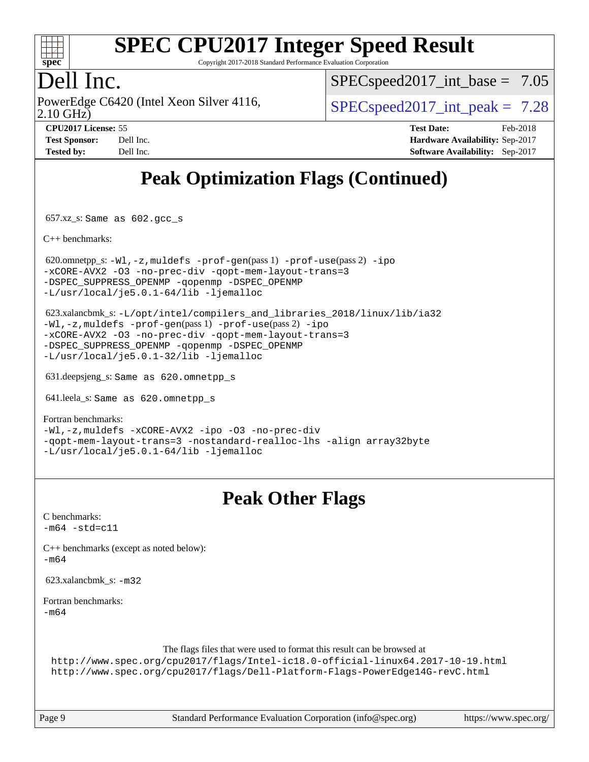

Copyright 2017-2018 Standard Performance Evaluation Corporation

### Dell Inc.

2.10 GHz) PowerEdge C6420 (Intel Xeon Silver 4116,  $\vert$  [SPECspeed2017\\_int\\_peak =](http://www.spec.org/auto/cpu2017/Docs/result-fields.html#SPECspeed2017intpeak) 7.28

 $SPECspeed2017\_int\_base = 7.05$ 

| <b>Test Sponsor:</b> | Dell Inc. |
|----------------------|-----------|
| <b>Tested by:</b>    | Dell Inc. |

**[CPU2017 License:](http://www.spec.org/auto/cpu2017/Docs/result-fields.html#CPU2017License)** 55 **[Test Date:](http://www.spec.org/auto/cpu2017/Docs/result-fields.html#TestDate)** Feb-2018 **[Hardware Availability:](http://www.spec.org/auto/cpu2017/Docs/result-fields.html#HardwareAvailability)** Sep-2017 **[Software Availability:](http://www.spec.org/auto/cpu2017/Docs/result-fields.html#SoftwareAvailability)** Sep-2017

## **[Peak Optimization Flags \(Continued\)](http://www.spec.org/auto/cpu2017/Docs/result-fields.html#PeakOptimizationFlags)**

657.xz\_s: Same as 602.gcc\_s

[C++ benchmarks:](http://www.spec.org/auto/cpu2017/Docs/result-fields.html#CXXbenchmarks)

620.omnetpp\_s:  $-W1$ ,  $-z$ , muldefs  $-prof-qen(pass 1)$   $-prof-use(pass 2) -ipo$  $-prof-use(pass 2) -ipo$  $-prof-use(pass 2) -ipo$ [-xCORE-AVX2](http://www.spec.org/cpu2017/results/res2018q1/cpu2017-20180305-03817.flags.html#user_peakPASS2_CXXOPTIMIZE620_omnetpp_s_f-xCORE-AVX2) [-O3](http://www.spec.org/cpu2017/results/res2018q1/cpu2017-20180305-03817.flags.html#user_peakPASS1_CXXOPTIMIZEPASS2_CXXOPTIMIZE620_omnetpp_s_f-O3) [-no-prec-div](http://www.spec.org/cpu2017/results/res2018q1/cpu2017-20180305-03817.flags.html#user_peakPASS1_CXXOPTIMIZEPASS2_CXXOPTIMIZE620_omnetpp_s_f-no-prec-div) [-qopt-mem-layout-trans=3](http://www.spec.org/cpu2017/results/res2018q1/cpu2017-20180305-03817.flags.html#user_peakPASS1_CXXOPTIMIZEPASS2_CXXOPTIMIZE620_omnetpp_s_f-qopt-mem-layout-trans_de80db37974c74b1f0e20d883f0b675c88c3b01e9d123adea9b28688d64333345fb62bc4a798493513fdb68f60282f9a726aa07f478b2f7113531aecce732043) [-DSPEC\\_SUPPRESS\\_OPENMP](http://www.spec.org/cpu2017/results/res2018q1/cpu2017-20180305-03817.flags.html#suite_peakPASS1_CXXOPTIMIZE620_omnetpp_s_DSPEC_SUPPRESS_OPENMP) [-qopenmp](http://www.spec.org/cpu2017/results/res2018q1/cpu2017-20180305-03817.flags.html#user_peakPASS2_CXXOPTIMIZE620_omnetpp_s_qopenmp_16be0c44f24f464004c6784a7acb94aca937f053568ce72f94b139a11c7c168634a55f6653758ddd83bcf7b8463e8028bb0b48b77bcddc6b78d5d95bb1df2967) [-DSPEC\\_OPENMP](http://www.spec.org/cpu2017/results/res2018q1/cpu2017-20180305-03817.flags.html#suite_peakPASS2_CXXOPTIMIZE620_omnetpp_s_DSPEC_OPENMP) [-L/usr/local/je5.0.1-64/lib](http://www.spec.org/cpu2017/results/res2018q1/cpu2017-20180305-03817.flags.html#user_peakEXTRA_LIBS620_omnetpp_s_jemalloc_link_path64_4b10a636b7bce113509b17f3bd0d6226c5fb2346b9178c2d0232c14f04ab830f976640479e5c33dc2bcbbdad86ecfb6634cbbd4418746f06f368b512fced5394) [-ljemalloc](http://www.spec.org/cpu2017/results/res2018q1/cpu2017-20180305-03817.flags.html#user_peakEXTRA_LIBS620_omnetpp_s_jemalloc_link_lib_d1249b907c500fa1c0672f44f562e3d0f79738ae9e3c4a9c376d49f265a04b9c99b167ecedbf6711b3085be911c67ff61f150a17b3472be731631ba4d0471706)

 623.xalancbmk\_s: [-L/opt/intel/compilers\\_and\\_libraries\\_2018/linux/lib/ia32](http://www.spec.org/cpu2017/results/res2018q1/cpu2017-20180305-03817.flags.html#user_peakCXXLD623_xalancbmk_s_Enable-32bit-runtime_af243bdb1d79e4c7a4f720bf8275e627de2ecd461de63307bc14cef0633fde3cd7bb2facb32dcc8be9566045fb55d40ce2b72b725f73827aa7833441b71b9343) [-Wl,-z,muldefs](http://www.spec.org/cpu2017/results/res2018q1/cpu2017-20180305-03817.flags.html#user_peakEXTRA_LDFLAGS623_xalancbmk_s_link_force_multiple1_b4cbdb97b34bdee9ceefcfe54f4c8ea74255f0b02a4b23e853cdb0e18eb4525ac79b5a88067c842dd0ee6996c24547a27a4b99331201badda8798ef8a743f577) [-prof-gen](http://www.spec.org/cpu2017/results/res2018q1/cpu2017-20180305-03817.flags.html#user_peakPASS1_CXXFLAGSPASS1_LDFLAGS623_xalancbmk_s_prof_gen_5aa4926d6013ddb2a31985c654b3eb18169fc0c6952a63635c234f711e6e63dd76e94ad52365559451ec499a2cdb89e4dc58ba4c67ef54ca681ffbe1461d6b36)(pass 1) [-prof-use](http://www.spec.org/cpu2017/results/res2018q1/cpu2017-20180305-03817.flags.html#user_peakPASS2_CXXFLAGSPASS2_LDFLAGS623_xalancbmk_s_prof_use_1a21ceae95f36a2b53c25747139a6c16ca95bd9def2a207b4f0849963b97e94f5260e30a0c64f4bb623698870e679ca08317ef8150905d41bd88c6f78df73f19)(pass 2) [-ipo](http://www.spec.org/cpu2017/results/res2018q1/cpu2017-20180305-03817.flags.html#user_peakPASS1_CXXOPTIMIZEPASS2_CXXOPTIMIZE623_xalancbmk_s_f-ipo) [-xCORE-AVX2](http://www.spec.org/cpu2017/results/res2018q1/cpu2017-20180305-03817.flags.html#user_peakPASS2_CXXOPTIMIZE623_xalancbmk_s_f-xCORE-AVX2) [-O3](http://www.spec.org/cpu2017/results/res2018q1/cpu2017-20180305-03817.flags.html#user_peakPASS1_CXXOPTIMIZEPASS2_CXXOPTIMIZE623_xalancbmk_s_f-O3) [-no-prec-div](http://www.spec.org/cpu2017/results/res2018q1/cpu2017-20180305-03817.flags.html#user_peakPASS1_CXXOPTIMIZEPASS2_CXXOPTIMIZE623_xalancbmk_s_f-no-prec-div) [-qopt-mem-layout-trans=3](http://www.spec.org/cpu2017/results/res2018q1/cpu2017-20180305-03817.flags.html#user_peakPASS1_CXXOPTIMIZEPASS2_CXXOPTIMIZE623_xalancbmk_s_f-qopt-mem-layout-trans_de80db37974c74b1f0e20d883f0b675c88c3b01e9d123adea9b28688d64333345fb62bc4a798493513fdb68f60282f9a726aa07f478b2f7113531aecce732043) [-DSPEC\\_SUPPRESS\\_OPENMP](http://www.spec.org/cpu2017/results/res2018q1/cpu2017-20180305-03817.flags.html#suite_peakPASS1_CXXOPTIMIZE623_xalancbmk_s_DSPEC_SUPPRESS_OPENMP) [-qopenmp](http://www.spec.org/cpu2017/results/res2018q1/cpu2017-20180305-03817.flags.html#user_peakPASS2_CXXOPTIMIZE623_xalancbmk_s_qopenmp_16be0c44f24f464004c6784a7acb94aca937f053568ce72f94b139a11c7c168634a55f6653758ddd83bcf7b8463e8028bb0b48b77bcddc6b78d5d95bb1df2967) [-DSPEC\\_OPENMP](http://www.spec.org/cpu2017/results/res2018q1/cpu2017-20180305-03817.flags.html#suite_peakPASS2_CXXOPTIMIZE623_xalancbmk_s_DSPEC_OPENMP) [-L/usr/local/je5.0.1-32/lib](http://www.spec.org/cpu2017/results/res2018q1/cpu2017-20180305-03817.flags.html#user_peakEXTRA_LIBS623_xalancbmk_s_jemalloc_link_path32_e29f22e8e6c17053bbc6a0971f5a9c01a601a06bb1a59df2084b77a2fe0a2995b64fd4256feaeea39eeba3aae142e96e2b2b0a28974019c0c0c88139a84f900a) [-ljemalloc](http://www.spec.org/cpu2017/results/res2018q1/cpu2017-20180305-03817.flags.html#user_peakEXTRA_LIBS623_xalancbmk_s_jemalloc_link_lib_d1249b907c500fa1c0672f44f562e3d0f79738ae9e3c4a9c376d49f265a04b9c99b167ecedbf6711b3085be911c67ff61f150a17b3472be731631ba4d0471706)

631.deepsjeng\_s: Same as 620.omnetpp\_s

641.leela\_s: Same as 620.omnetpp\_s

#### [Fortran benchmarks](http://www.spec.org/auto/cpu2017/Docs/result-fields.html#Fortranbenchmarks):

[-Wl,-z,muldefs](http://www.spec.org/cpu2017/results/res2018q1/cpu2017-20180305-03817.flags.html#user_FCpeak_link_force_multiple1_b4cbdb97b34bdee9ceefcfe54f4c8ea74255f0b02a4b23e853cdb0e18eb4525ac79b5a88067c842dd0ee6996c24547a27a4b99331201badda8798ef8a743f577) [-xCORE-AVX2](http://www.spec.org/cpu2017/results/res2018q1/cpu2017-20180305-03817.flags.html#user_FCpeak_f-xCORE-AVX2) [-ipo](http://www.spec.org/cpu2017/results/res2018q1/cpu2017-20180305-03817.flags.html#user_FCpeak_f-ipo) [-O3](http://www.spec.org/cpu2017/results/res2018q1/cpu2017-20180305-03817.flags.html#user_FCpeak_f-O3) [-no-prec-div](http://www.spec.org/cpu2017/results/res2018q1/cpu2017-20180305-03817.flags.html#user_FCpeak_f-no-prec-div) [-qopt-mem-layout-trans=3](http://www.spec.org/cpu2017/results/res2018q1/cpu2017-20180305-03817.flags.html#user_FCpeak_f-qopt-mem-layout-trans_de80db37974c74b1f0e20d883f0b675c88c3b01e9d123adea9b28688d64333345fb62bc4a798493513fdb68f60282f9a726aa07f478b2f7113531aecce732043) [-nostandard-realloc-lhs](http://www.spec.org/cpu2017/results/res2018q1/cpu2017-20180305-03817.flags.html#user_FCpeak_f_2003_std_realloc_82b4557e90729c0f113870c07e44d33d6f5a304b4f63d4c15d2d0f1fab99f5daaed73bdb9275d9ae411527f28b936061aa8b9c8f2d63842963b95c9dd6426b8a) [-align array32byte](http://www.spec.org/cpu2017/results/res2018q1/cpu2017-20180305-03817.flags.html#user_FCpeak_align_array32byte_b982fe038af199962ba9a80c053b8342c548c85b40b8e86eb3cc33dee0d7986a4af373ac2d51c3f7cf710a18d62fdce2948f201cd044323541f22fc0fffc51b6) [-L/usr/local/je5.0.1-64/lib](http://www.spec.org/cpu2017/results/res2018q1/cpu2017-20180305-03817.flags.html#user_FCpeak_jemalloc_link_path64_4b10a636b7bce113509b17f3bd0d6226c5fb2346b9178c2d0232c14f04ab830f976640479e5c33dc2bcbbdad86ecfb6634cbbd4418746f06f368b512fced5394) [-ljemalloc](http://www.spec.org/cpu2017/results/res2018q1/cpu2017-20180305-03817.flags.html#user_FCpeak_jemalloc_link_lib_d1249b907c500fa1c0672f44f562e3d0f79738ae9e3c4a9c376d49f265a04b9c99b167ecedbf6711b3085be911c67ff61f150a17b3472be731631ba4d0471706)

#### **[Peak Other Flags](http://www.spec.org/auto/cpu2017/Docs/result-fields.html#PeakOtherFlags)**

[C benchmarks](http://www.spec.org/auto/cpu2017/Docs/result-fields.html#Cbenchmarks):  $-m64 - std= c11$  $-m64 - std= c11$ [C++ benchmarks \(except as noted below\):](http://www.spec.org/auto/cpu2017/Docs/result-fields.html#CXXbenchmarksexceptasnotedbelow) [-m64](http://www.spec.org/cpu2017/results/res2018q1/cpu2017-20180305-03817.flags.html#user_CXXpeak_intel_intel64_18.0_af43caccfc8ded86e7699f2159af6efc7655f51387b94da716254467f3c01020a5059329e2569e4053f409e7c9202a7efc638f7a6d1ffb3f52dea4a3e31d82ab) 623.xalancbmk\_s: [-m32](http://www.spec.org/cpu2017/results/res2018q1/cpu2017-20180305-03817.flags.html#user_peakCXXLD623_xalancbmk_s_intel_ia32_18.0_2666f1173eb60787016b673bfe1358e27016ef7649ea4884b7bc6187fd89dc221d14632e22638cde1c647a518de97358ab15d4ad098ee4e19a8b28d0c25e14bf) [Fortran benchmarks](http://www.spec.org/auto/cpu2017/Docs/result-fields.html#Fortranbenchmarks): [-m64](http://www.spec.org/cpu2017/results/res2018q1/cpu2017-20180305-03817.flags.html#user_FCpeak_intel_intel64_18.0_af43caccfc8ded86e7699f2159af6efc7655f51387b94da716254467f3c01020a5059329e2569e4053f409e7c9202a7efc638f7a6d1ffb3f52dea4a3e31d82ab) The flags files that were used to format this result can be browsed at <http://www.spec.org/cpu2017/flags/Intel-ic18.0-official-linux64.2017-10-19.html> <http://www.spec.org/cpu2017/flags/Dell-Platform-Flags-PowerEdge14G-revC.html>